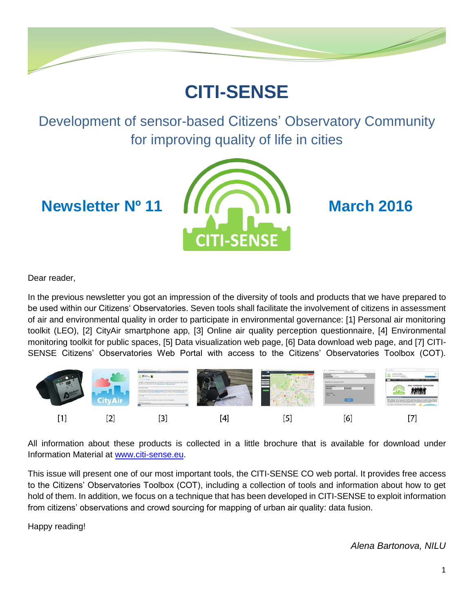

# **CITI-SENSE**

Development of sensor-based Citizens' Observatory Community for improving quality of life in cities



Dear reader,

In the previous newsletter you got an impression of the diversity of tools and products that we have prepared to be used within our Citizens' Observatories. Seven tools shall facilitate the involvement of citizens in assessment of air and environmental quality in order to participate in environmental governance: [1] Personal air monitoring toolkit (LEO), [2] CityAir smartphone app, [3] Online air quality perception questionnaire, [4] Environmental monitoring toolkit for public spaces, [5] Data visualization web page, [6] Data download web page, and [7] CITI-SENSE Citizens' Observatories Web Portal with access to the Citizens' Observatories Toolbox (COT).



All information about these products is collected in a little brochure that is available for download under Information Material at [www.citi-sense.eu.](http://www.citi-sense.eu/)

This issue will present one of our most important tools, the CITI-SENSE CO web portal. It provides free access to the Citizens' Observatories Toolbox (COT), including a collection of tools and information about how to get hold of them. In addition, we focus on a technique that has been developed in CITI-SENSE to exploit information from citizens' observations and crowd sourcing for mapping of urban air quality: data fusion.

Happy reading!

*Alena Bartonova, NILU*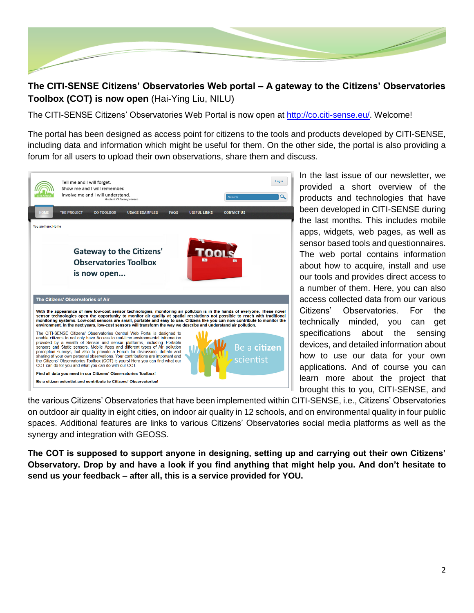

#### **The CITI-SENSE Citizens' Observatories Web portal – A gateway to the Citizens' Observatories Toolbox (COT) is now open** (Hai-Ying Liu, NILU)

The CITI-SENSE Citizens' Observatories Web Portal is now open at [http://co.citi-sense.eu/.](http://co.citi-sense.eu/) Welcome!

The portal has been designed as access point for citizens to the tools and products developed by CITI-SENSE, including data and information which might be useful for them. On the other side, the portal is also providing a forum for all users to upload their own observations, share them and discuss.



In the last issue of our newsletter, we provided a short overview of the products and technologies that have been developed in CITI-SENSE during the last months. This includes mobile apps, widgets, web pages, as well as sensor based tools and questionnaires. The web portal contains information about how to acquire, install and use our tools and provides direct access to a number of them. Here, you can also access collected data from our various Citizens' Observatories. For the technically minded, you can get specifications about the sensing devices, and detailed information about how to use our data for your own applications. And of course you can learn more about the project that brought this to you, CITI-SENSE, and

the various Citizens' Observatories that have been implemented within CITI-SENSE, i.e., Citizens' Observatories on outdoor air quality in eight cities, on indoor air quality in 12 schools, and on environmental quality in four public spaces. Additional features are links to various Citizens' Observatories social media platforms as well as the synergy and integration with GEOSS.

**The COT is supposed to support anyone in designing, setting up and carrying out their own Citizens' Observatory. Drop by and have a look if you find anything that might help you. And don't hesitate to send us your feedback – after all, this is a service provided for YOU.**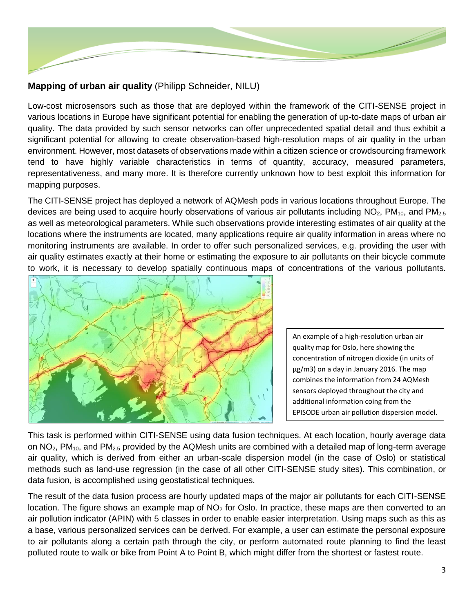

## **Mapping of urban air quality** (Philipp Schneider, NILU)

Low-cost microsensors such as those that are deployed within the framework of the CITI-SENSE project in various locations in Europe have significant potential for enabling the generation of up-to-date maps of urban air quality. The data provided by such sensor networks can offer unprecedented spatial detail and thus exhibit a significant potential for allowing to create observation-based high-resolution maps of air quality in the urban environment. However, most datasets of observations made within a citizen science or crowdsourcing framework tend to have highly variable characteristics in terms of quantity, accuracy, measured parameters, representativeness, and many more. It is therefore currently unknown how to best exploit this information for mapping purposes.

The CITI-SENSE project has deployed a network of AQMesh pods in various locations throughout Europe. The devices are being used to acquire hourly observations of various air pollutants including  $NO<sub>2</sub>$ , PM<sub>10</sub>, and PM<sub>2.5</sub> as well as meteorological parameters. While such observations provide interesting estimates of air quality at the locations where the instruments are located, many applications require air quality information in areas where no monitoring instruments are available. In order to offer such personalized services, e.g. providing the user with air quality estimates exactly at their home or estimating the exposure to air pollutants on their bicycle commute to work, it is necessary to develop spatially continuous maps of concentrations of the various pollutants.



An example of a high-resolution urban air quality map for Oslo, here showing the concentration of nitrogen dioxide (in units of µg/m3) on a day in January 2016. The map combines the information from 24 AQMesh sensors deployed throughout the city and additional information coing from the EPISODE urban air pollution dispersion model.

This task is performed within CITI-SENSE using data fusion techniques. At each location, hourly average data on  $NO<sub>2</sub>$ , PM<sub>10</sub>, and PM<sub>2.5</sub> provided by the AQMesh units are combined with a detailed map of long-term average air quality, which is derived from either an urban-scale dispersion model (in the case of Oslo) or statistical methods such as land-use regression (in the case of all other CITI-SENSE study sites). This combination, or data fusion, is accomplished using geostatistical techniques.

The result of the data fusion process are hourly updated maps of the major air pollutants for each CITI-SENSE location. The figure shows an example map of  $NO<sub>2</sub>$  for Oslo. In practice, these maps are then converted to an air pollution indicator (APIN) with 5 classes in order to enable easier interpretation. Using maps such as this as a base, various personalized services can be derived. For example, a user can estimate the personal exposure to air pollutants along a certain path through the city, or perform automated route planning to find the least polluted route to walk or bike from Point A to Point B, which might differ from the shortest or fastest route.